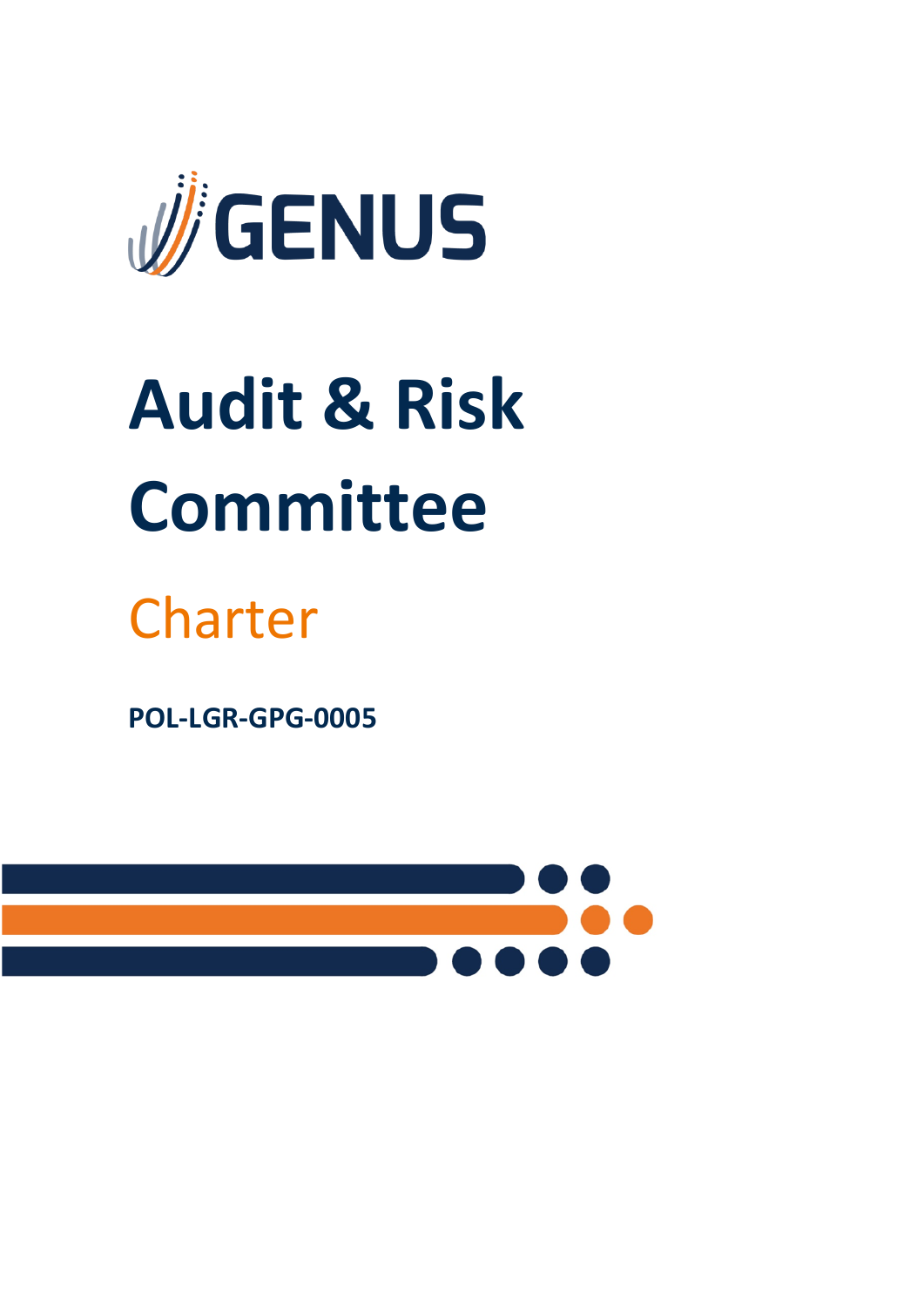

# **Audit & Risk Committee**

# Charter

**POL-LGR-GPG-0005**

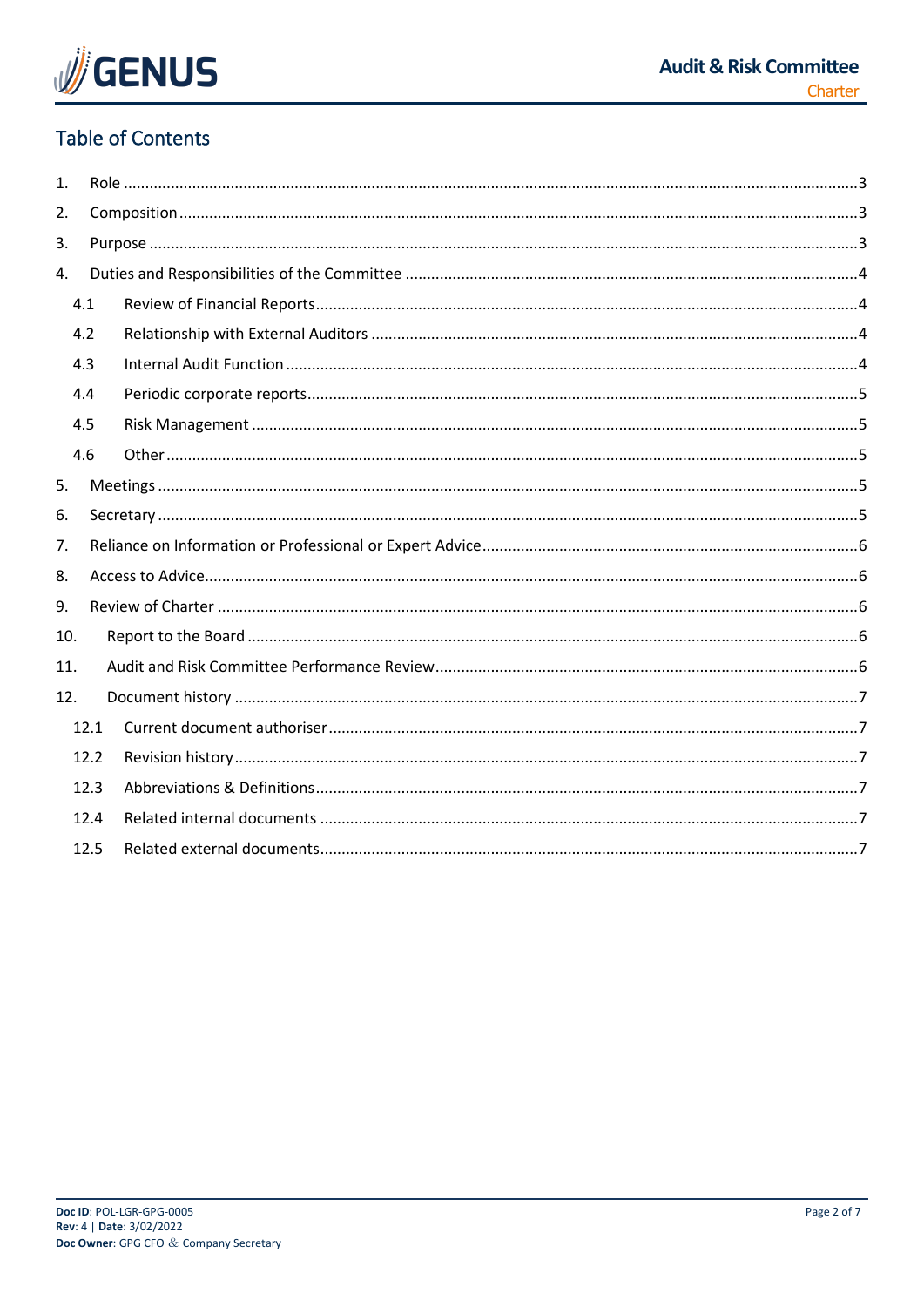

# **Table of Contents**

| $\mathbf{1}$ |      |  |  |  |  |  |  |
|--------------|------|--|--|--|--|--|--|
| 2.           |      |  |  |  |  |  |  |
| 3.           |      |  |  |  |  |  |  |
| 4.           |      |  |  |  |  |  |  |
|              | 4.1  |  |  |  |  |  |  |
| 4.2          |      |  |  |  |  |  |  |
|              | 4.3  |  |  |  |  |  |  |
|              | 4.4  |  |  |  |  |  |  |
|              | 4.5  |  |  |  |  |  |  |
|              | 4.6  |  |  |  |  |  |  |
| 5.           |      |  |  |  |  |  |  |
| 6.           |      |  |  |  |  |  |  |
| 7.           |      |  |  |  |  |  |  |
| 8.           |      |  |  |  |  |  |  |
| 9.           |      |  |  |  |  |  |  |
|              | 10.  |  |  |  |  |  |  |
| 11.          |      |  |  |  |  |  |  |
| 12.          |      |  |  |  |  |  |  |
|              | 12.1 |  |  |  |  |  |  |
|              | 12.2 |  |  |  |  |  |  |
|              | 12.3 |  |  |  |  |  |  |
|              | 12.4 |  |  |  |  |  |  |
|              | 12.5 |  |  |  |  |  |  |
|              |      |  |  |  |  |  |  |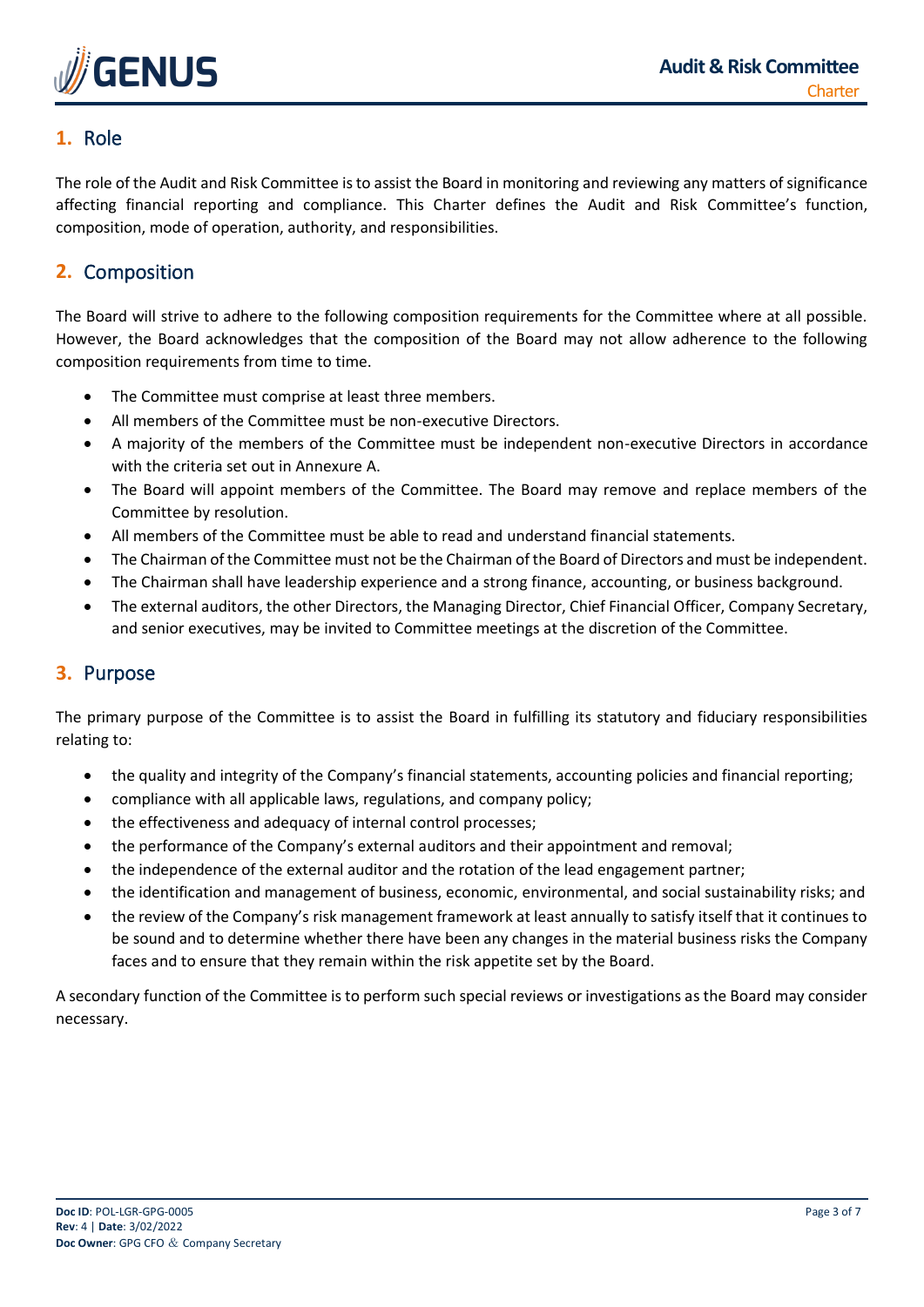

# <span id="page-2-0"></span>**1.** Role

The role of the Audit and Risk Committee is to assist the Board in monitoring and reviewing any matters of significance affecting financial reporting and compliance. This Charter defines the Audit and Risk Committee's function, composition, mode of operation, authority, and responsibilities.

# <span id="page-2-1"></span>**2.** Composition

The Board will strive to adhere to the following composition requirements for the Committee where at all possible. However, the Board acknowledges that the composition of the Board may not allow adherence to the following composition requirements from time to time.

- The Committee must comprise at least three members.
- All members of the Committee must be non-executive Directors.
- A majority of the members of the Committee must be independent non-executive Directors in accordance with the criteria set out in Annexure A.
- The Board will appoint members of the Committee. The Board may remove and replace members of the Committee by resolution.
- All members of the Committee must be able to read and understand financial statements.
- The Chairman of the Committee must not be the Chairman of the Board of Directors and must be independent.
- The Chairman shall have leadership experience and a strong finance, accounting, or business background.
- The external auditors, the other Directors, the Managing Director, Chief Financial Officer, Company Secretary, and senior executives, may be invited to Committee meetings at the discretion of the Committee.

# <span id="page-2-2"></span>**3.** Purpose

The primary purpose of the Committee is to assist the Board in fulfilling its statutory and fiduciary responsibilities relating to:

- the quality and integrity of the Company's financial statements, accounting policies and financial reporting;
- compliance with all applicable laws, regulations, and company policy;
- the effectiveness and adequacy of internal control processes;
- the performance of the Company's external auditors and their appointment and removal;
- the independence of the external auditor and the rotation of the lead engagement partner;
- the identification and management of business, economic, environmental, and social sustainability risks; and
- the review of the Company's risk management framework at least annually to satisfy itself that it continues to be sound and to determine whether there have been any changes in the material business risks the Company faces and to ensure that they remain within the risk appetite set by the Board.

A secondary function of the Committee is to perform such special reviews or investigations as the Board may consider necessary.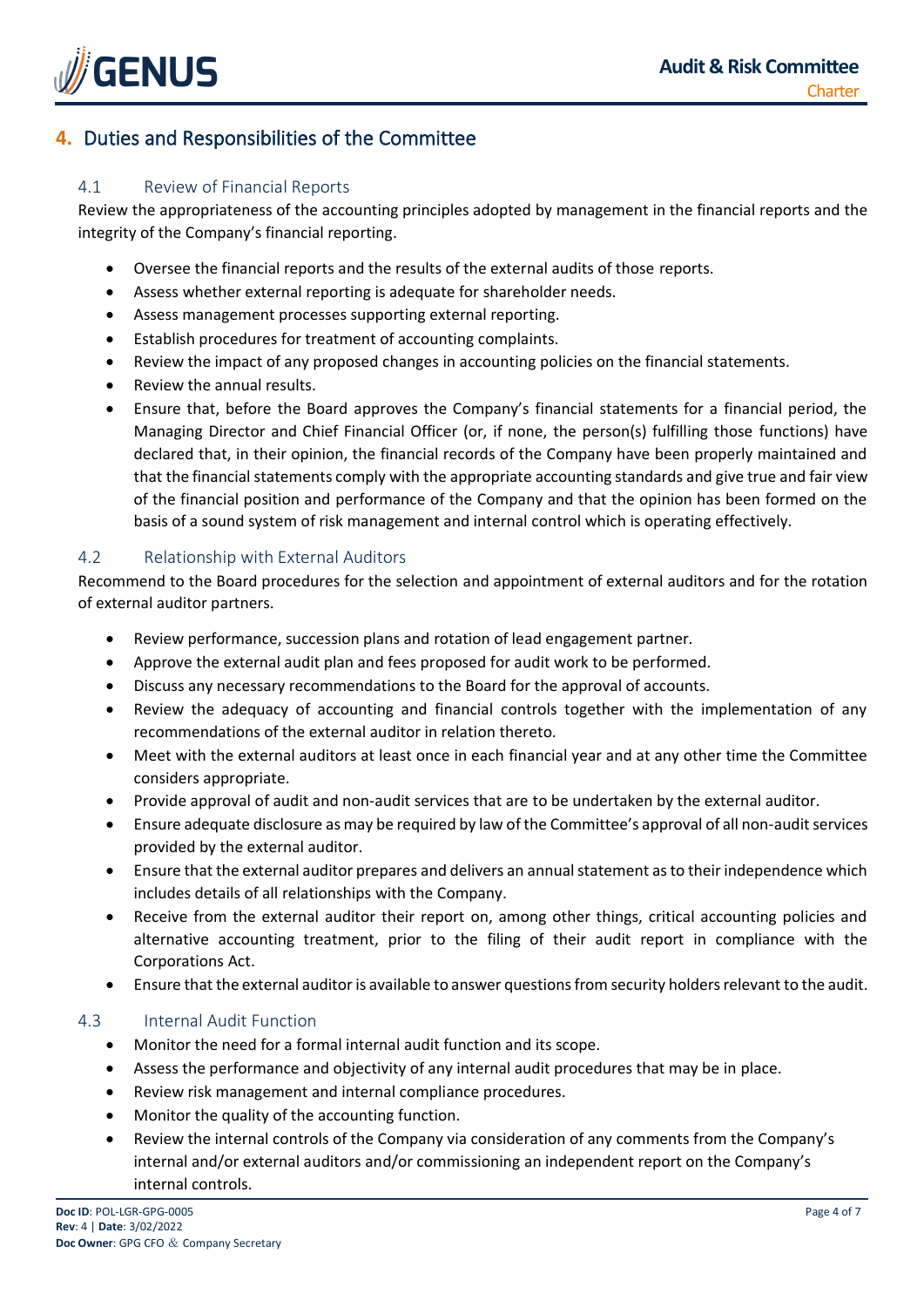

# <span id="page-3-0"></span>**4.** Duties and Responsibilities of the Committee

#### <span id="page-3-1"></span>4.1 Review of Financial Reports

Review the appropriateness of the accounting principles adopted by management in the financial reports and the integrity of the Company's financial reporting.

- Oversee the financial reports and the results of the external audits of those reports.
- Assess whether external reporting is adequate for shareholder needs.
- Assess management processes supporting external reporting.
- Establish procedures for treatment of accounting complaints.
- Review the impact of any proposed changes in accounting policies on the financial statements.
- Review the annual results.
- Ensure that, before the Board approves the Company's financial statements for a financial period, the Managing Director and Chief Financial Officer (or, if none, the person(s) fulfilling those functions) have declared that, in their opinion, the financial records of the Company have been properly maintained and that the financial statements comply with the appropriate accounting standards and give true and fair view of the financial position and performance of the Company and that the opinion has been formed on the basis of a sound system of risk management and internal control which is operating effectively.

#### <span id="page-3-2"></span>4.2 Relationship with External Auditors

Recommend to the Board procedures for the selection and appointment of external auditors and for the rotation of external auditor partners.

- Review performance, succession plans and rotation of lead engagement partner.
- Approve the external audit plan and fees proposed for audit work to be performed.
- Discuss any necessary recommendations to the Board for the approval of accounts.
- Review the adequacy of accounting and financial controls together with the implementation of any recommendations of the external auditor in relation thereto.
- Meet with the external auditors at least once in each financial year and at any other time the Committee considers appropriate.
- Provide approval of audit and non-audit services that are to be undertaken by the external auditor.
- Ensure adequate disclosure as may be required by law of the Committee's approval of all non-audit services provided by the external auditor.
- Ensure that the external auditor prepares and delivers an annual statement as to their independence which includes details of all relationships with the Company.
- Receive from the external auditor their report on, among other things, critical accounting policies and alternative accounting treatment, prior to the filing of their audit report in compliance with the Corporations Act.
- Ensure that the external auditor is available to answer questions from security holders relevant to the audit.

#### <span id="page-3-3"></span>4.3 Internal Audit Function

- Monitor the need for a formal internal audit function and its scope.
- Assess the performance and objectivity of any internal audit procedures that may be in place.
- Review risk management and internal compliance procedures.
- Monitor the quality of the accounting function.
- Review the internal controls of the Company via consideration of any comments from the Company's internal and/or external auditors and/or commissioning an independent report on the Company's internal controls.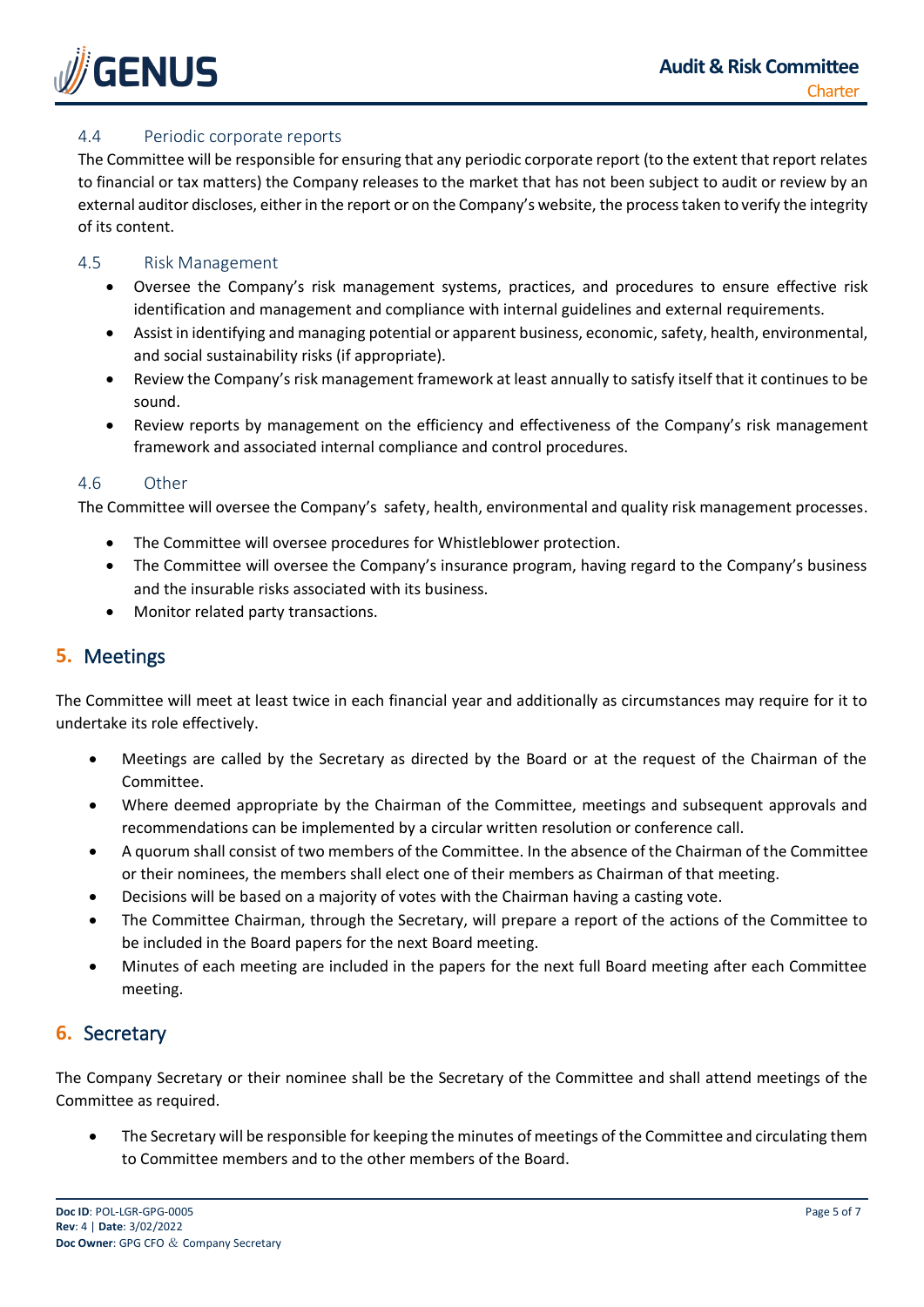

#### <span id="page-4-0"></span>4.4 Periodic corporate reports

The Committee will be responsible for ensuring that any periodic corporate report (to the extent that report relates to financial or tax matters) the Company releases to the market that has not been subject to audit or review by an external auditor discloses, either in the report or on the Company's website, the process taken to verify the integrity of its content.

#### <span id="page-4-1"></span>4.5 Risk Management

- Oversee the Company's risk management systems, practices, and procedures to ensure effective risk identification and management and compliance with internal guidelines and external requirements.
- Assist in identifying and managing potential or apparent business, economic, safety, health, environmental, and social sustainability risks (if appropriate).
- Review the Company's risk management framework at least annually to satisfy itself that it continues to be sound.
- Review reports by management on the efficiency and effectiveness of the Company's risk management framework and associated internal compliance and control procedures.

#### <span id="page-4-2"></span>4.6 Other

The Committee will oversee the Company's safety, health, environmental and quality risk management processes.

- The Committee will oversee procedures for Whistleblower protection.
- The Committee will oversee the Company's insurance program, having regard to the Company's business and the insurable risks associated with its business.
- Monitor related party transactions.

# <span id="page-4-3"></span>**5.** Meetings

The Committee will meet at least twice in each financial year and additionally as circumstances may require for it to undertake its role effectively.

- Meetings are called by the Secretary as directed by the Board or at the request of the Chairman of the Committee.
- Where deemed appropriate by the Chairman of the Committee, meetings and subsequent approvals and recommendations can be implemented by a circular written resolution or conference call.
- A quorum shall consist of two members of the Committee. In the absence of the Chairman of the Committee or their nominees, the members shall elect one of their members as Chairman of that meeting.
- Decisions will be based on a majority of votes with the Chairman having a casting vote.
- The Committee Chairman, through the Secretary, will prepare a report of the actions of the Committee to be included in the Board papers for the next Board meeting.
- Minutes of each meeting are included in the papers for the next full Board meeting after each Committee meeting.

# <span id="page-4-4"></span>**6.** Secretary

The Company Secretary or their nominee shall be the Secretary of the Committee and shall attend meetings of the Committee as required.

• The Secretary will be responsible for keeping the minutes of meetings of the Committee and circulating them to Committee members and to the other members of the Board.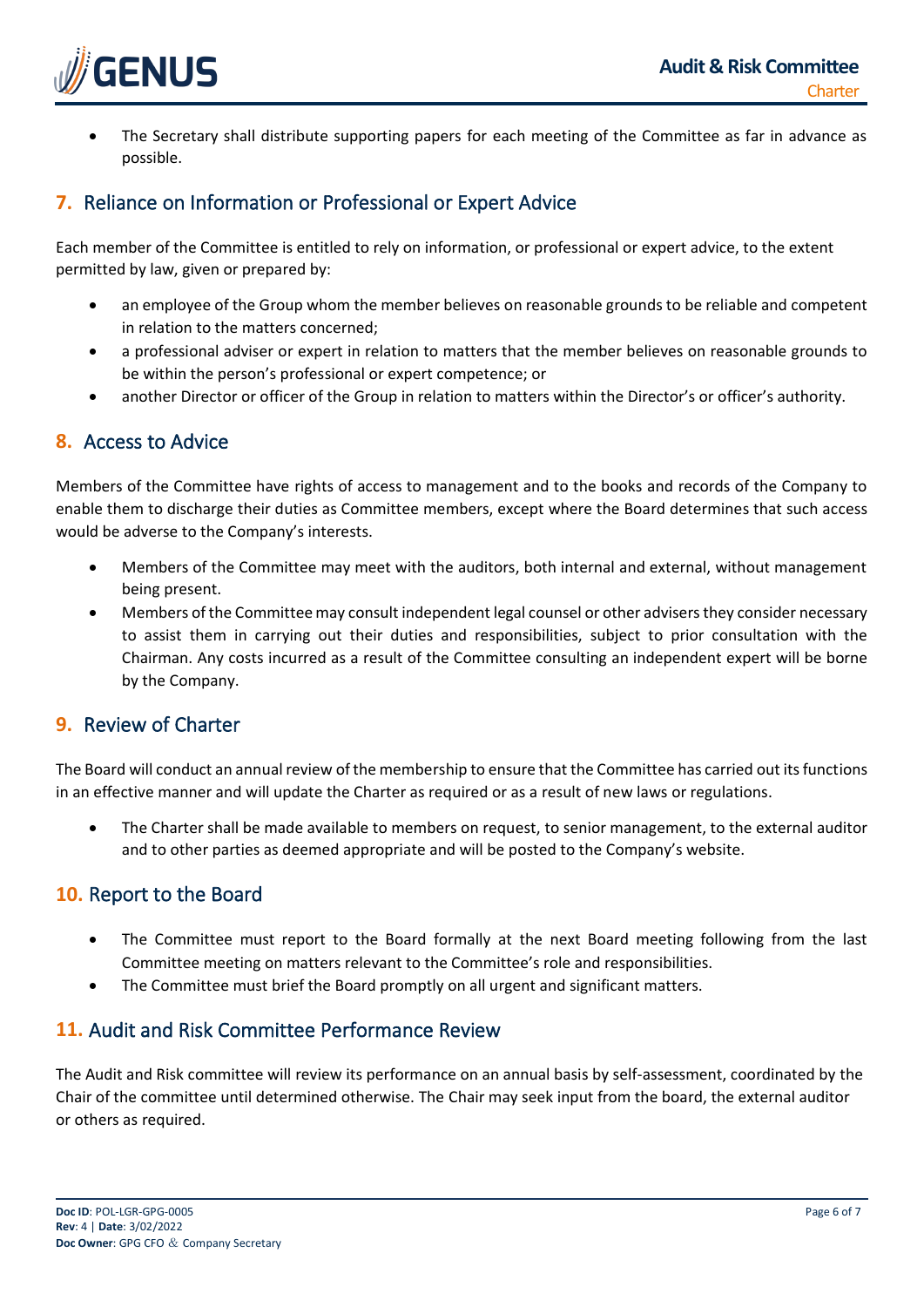

• The Secretary shall distribute supporting papers for each meeting of the Committee as far in advance as possible.

# <span id="page-5-0"></span>**7.** Reliance on Information or Professional or Expert Advice

Each member of the Committee is entitled to rely on information, or professional or expert advice, to the extent permitted by law, given or prepared by:

- an employee of the Group whom the member believes on reasonable grounds to be reliable and competent in relation to the matters concerned;
- a professional adviser or expert in relation to matters that the member believes on reasonable grounds to be within the person's professional or expert competence; or
- another Director or officer of the Group in relation to matters within the Director's or officer's authority.

# <span id="page-5-1"></span>**8.** Access to Advice

Members of the Committee have rights of access to management and to the books and records of the Company to enable them to discharge their duties as Committee members, except where the Board determines that such access would be adverse to the Company's interests.

- Members of the Committee may meet with the auditors, both internal and external, without management being present.
- Members of the Committee may consult independent legal counsel or other advisers they consider necessary to assist them in carrying out their duties and responsibilities, subject to prior consultation with the Chairman. Any costs incurred as a result of the Committee consulting an independent expert will be borne by the Company.

### <span id="page-5-2"></span>**9.** Review of Charter

The Board will conduct an annual review of the membership to ensure that the Committee has carried out its functions in an effective manner and will update the Charter as required or as a result of new laws or regulations.

• The Charter shall be made available to members on request, to senior management, to the external auditor and to other parties as deemed appropriate and will be posted to the Company's website.

# <span id="page-5-3"></span>**10.** Report to the Board

- The Committee must report to the Board formally at the next Board meeting following from the last Committee meeting on matters relevant to the Committee's role and responsibilities.
- The Committee must brief the Board promptly on all urgent and significant matters.

# <span id="page-5-4"></span>**11.** Audit and Risk Committee Performance Review

The Audit and Risk committee will review its performance on an annual basis by self-assessment, coordinated by the Chair of the committee until determined otherwise. The Chair may seek input from the board, the external auditor or others as required.